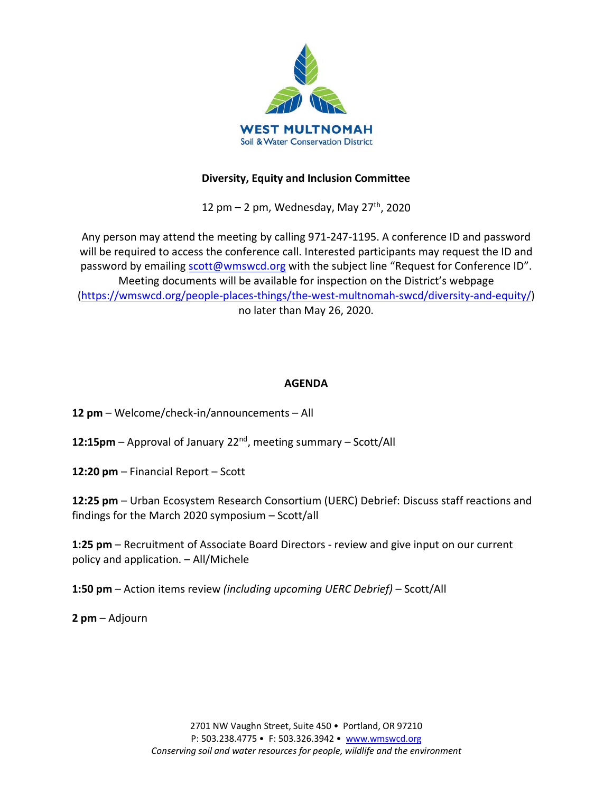

### **Diversity, Equity and Inclusion Committee**

12 pm  $-$  2 pm, Wednesday, May 27<sup>th</sup>, 2020

Any person may attend the meeting by calling 971-247-1195. A conference ID and password will be required to access the conference call. Interested participants may request the ID and password by emailing [scott@wmswcd.org](mailto:scott@wmswcd.org) with the subject line "Request for Conference ID". Meeting documents will be available for inspection on the District's webpage [\(https://wmswcd.org/people-places-things/the-west-multnomah-swcd/diversity-and-equity/\)](https://wmswcd.org/people-places-things/the-west-multnomah-swcd/diversity-and-equity/) no later than May 26, 2020.

### **AGENDA**

**12 pm** – Welcome/check-in/announcements – All

**12:15pm** – Approval of January 22nd, meeting summary – Scott/All

**12:20 pm** – Financial Report – Scott

**12:25 pm** – Urban Ecosystem Research Consortium (UERC) Debrief: Discuss staff reactions and findings for the March 2020 symposium – Scott/all

**1:25 pm** – Recruitment of Associate Board Directors - review and give input on our current policy and application. – All/Michele

**1:50 pm** – Action items review *(including upcoming UERC Debrief)* – Scott/All

**2 pm** – Adjourn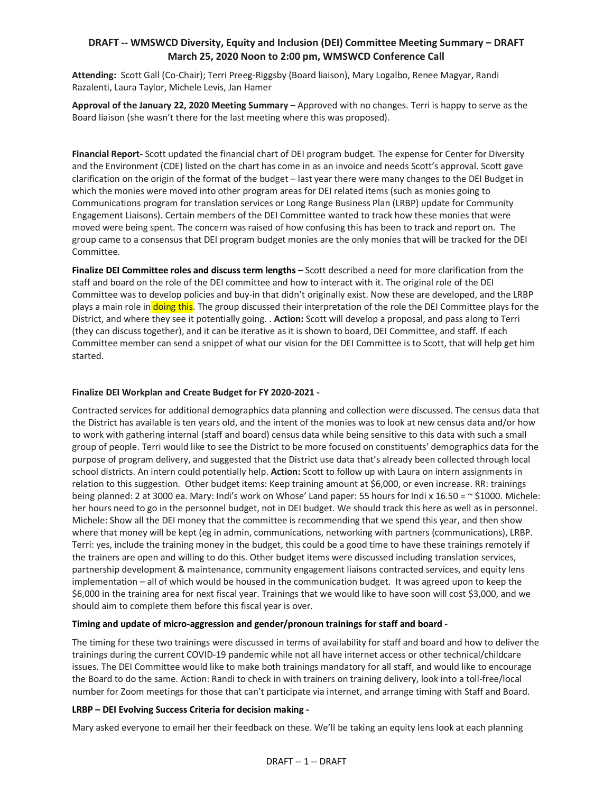#### **DRAFT -- WMSWCD Diversity, Equity and Inclusion (DEI) Committee Meeting Summary – DRAFT March 25, 2020 Noon to 2:00 pm, WMSWCD Conference Call**

**Attending:** Scott Gall (Co-Chair); Terri Preeg-Riggsby (Board liaison), Mary Logalbo, Renee Magyar, Randi Razalenti, Laura Taylor, Michele Levis, Jan Hamer

**Approval of the January 22, 2020 Meeting Summary** – Approved with no changes. Terri is happy to serve as the Board liaison (she wasn't there for the last meeting where this was proposed).

**Financial Report-** Scott updated the financial chart of DEI program budget. The expense for Center for Diversity and the Environment (CDE) listed on the chart has come in as an invoice and needs Scott's approval. Scott gave clarification on the origin of the format of the budget – last year there were many changes to the DEI Budget in which the monies were moved into other program areas for DEI related items (such as monies going to Communications program for translation services or Long Range Business Plan (LRBP) update for Community Engagement Liaisons). Certain members of the DEI Committee wanted to track how these monies that were moved were being spent. The concern was raised of how confusing this has been to track and report on. The group came to a consensus that DEI program budget monies are the only monies that will be tracked for the DEI Committee.

**Finalize DEI Committee roles and discuss term lengths –** Scott described a need for more clarification from the staff and board on the role of the DEI committee and how to interact with it. The original role of the DEI Committee was to develop policies and buy-in that didn't originally exist. Now these are developed, and the LRBP plays a main role in doing this. The group discussed their interpretation of the role the DEI Committee plays for the District, and where they see it potentially going. . **Action:** Scott will develop a proposal, and pass along to Terri (they can discuss together), and it can be iterative as it is shown to board, DEI Committee, and staff. If each Committee member can send a snippet of what our vision for the DEI Committee is to Scott, that will help get him started.

#### **Finalize DEI Workplan and Create Budget for FY 2020-2021 -**

Contracted services for additional demographics data planning and collection were discussed. The census data that the District has available is ten years old, and the intent of the monies was to look at new census data and/or how to work with gathering internal (staff and board) census data while being sensitive to this data with such a small group of people. Terri would like to see the District to be more focused on constituents' demographics data for the purpose of program delivery, and suggested that the District use data that's already been collected through local school districts. An intern could potentially help. **Action:** Scott to follow up with Laura on intern assignments in relation to this suggestion. Other budget items: Keep training amount at \$6,000, or even increase. RR: trainings being planned: 2 at 3000 ea. Mary: Indi's work on Whose' Land paper: 55 hours for Indi x 16.50 = ~ \$1000. Michele: her hours need to go in the personnel budget, not in DEI budget. We should track this here as well as in personnel. Michele: Show all the DEI money that the committee is recommending that we spend this year, and then show where that money will be kept (eg in admin, communications, networking with partners (communications), LRBP. Terri: yes, include the training money in the budget, this could be a good time to have these trainings remotely if the trainers are open and willing to do this. Other budget items were discussed including translation services, partnership development & maintenance, community engagement liaisons contracted services, and equity lens implementation – all of which would be housed in the communication budget. It was agreed upon to keep the \$6,000 in the training area for next fiscal year. Trainings that we would like to have soon will cost \$3,000, and we should aim to complete them before this fiscal year is over.

#### **Timing and update of micro-aggression and gender/pronoun trainings for staff and board -**

The timing for these two trainings were discussed in terms of availability for staff and board and how to deliver the trainings during the current COVID-19 pandemic while not all have internet access or other technical/childcare issues. The DEI Committee would like to make both trainings mandatory for all staff, and would like to encourage the Board to do the same. Action: Randi to check in with trainers on training delivery, look into a toll-free/local number for Zoom meetings for those that can't participate via internet, and arrange timing with Staff and Board.

#### **LRBP – DEI Evolving Success Criteria for decision making -**

Mary asked everyone to email her their feedback on these. We'll be taking an equity lens look at each planning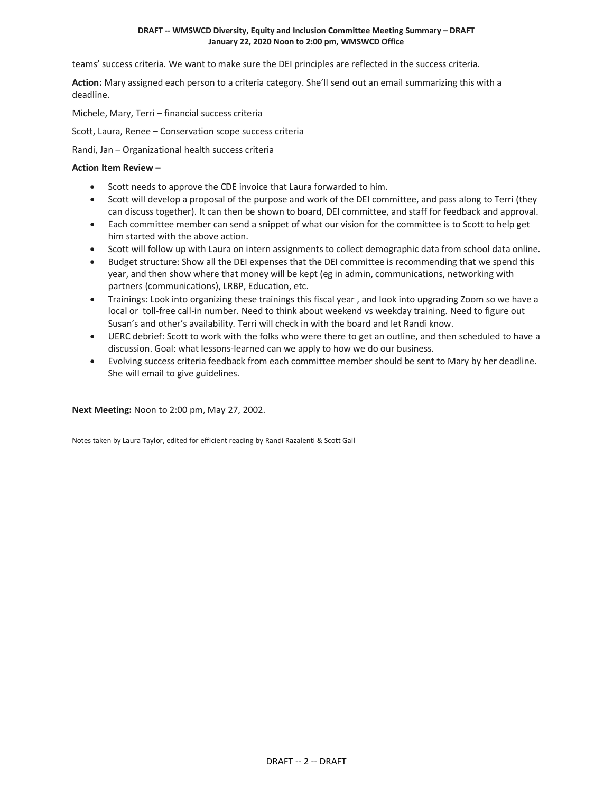#### **DRAFT -- WMSWCD Diversity, Equity and Inclusion Committee Meeting Summary – DRAFT January 22, 2020 Noon to 2:00 pm, WMSWCD Office**

teams' success criteria. We want to make sure the DEI principles are reflected in the success criteria.

**Action:** Mary assigned each person to a criteria category. She'll send out an email summarizing this with a deadline.

Michele, Mary, Terri – financial success criteria

Scott, Laura, Renee – Conservation scope success criteria

Randi, Jan – Organizational health success criteria

#### **Action Item Review –**

- Scott needs to approve the CDE invoice that Laura forwarded to him.
- Scott will develop a proposal of the purpose and work of the DEI committee, and pass along to Terri (they can discuss together). It can then be shown to board, DEI committee, and staff for feedback and approval.
- Each committee member can send a snippet of what our vision for the committee is to Scott to help get him started with the above action.
- Scott will follow up with Laura on intern assignments to collect demographic data from school data online.
- Budget structure: Show all the DEI expenses that the DEI committee is recommending that we spend this year, and then show where that money will be kept (eg in admin, communications, networking with partners (communications), LRBP, Education, etc.
- Trainings: Look into organizing these trainings this fiscal year , and look into upgrading Zoom so we have a local or toll-free call-in number. Need to think about weekend vs weekday training. Need to figure out Susan's and other's availability. Terri will check in with the board and let Randi know.
- UERC debrief: Scott to work with the folks who were there to get an outline, and then scheduled to have a discussion. Goal: what lessons-learned can we apply to how we do our business.
- Evolving success criteria feedback from each committee member should be sent to Mary by her deadline. She will email to give guidelines.

**Next Meeting:** Noon to 2:00 pm, May 27, 2002.

Notes taken by Laura Taylor, edited for efficient reading by Randi Razalenti & Scott Gall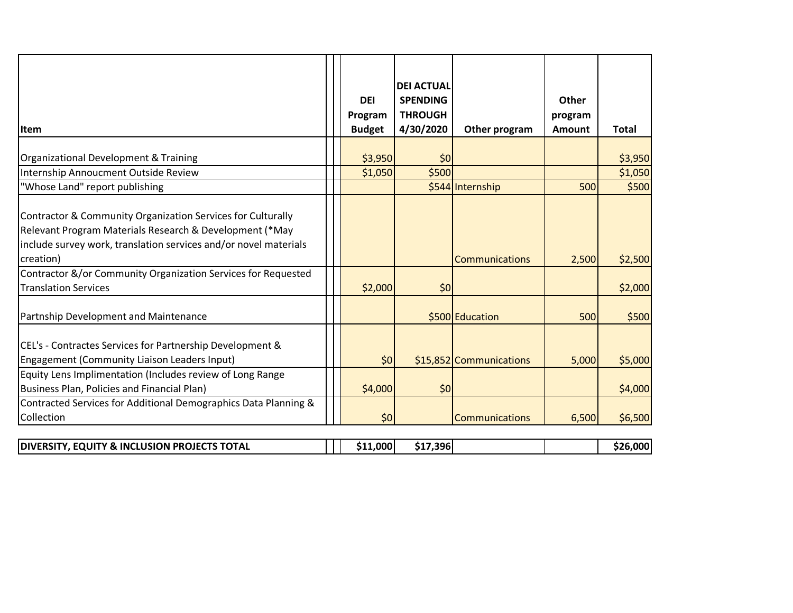| <b>I</b> tem                                                                                                                                                                                            | <b>DEI</b><br>Program<br><b>Budget</b> | <b>DEI ACTUAL</b><br><b>SPENDING</b><br><b>THROUGH</b><br>4/30/2020 | Other program           | Other<br>program<br>Amount | <b>Total</b> |
|---------------------------------------------------------------------------------------------------------------------------------------------------------------------------------------------------------|----------------------------------------|---------------------------------------------------------------------|-------------------------|----------------------------|--------------|
|                                                                                                                                                                                                         |                                        |                                                                     |                         |                            |              |
| Organizational Development & Training                                                                                                                                                                   | \$3,950                                | \$0                                                                 |                         |                            | \$3,950      |
| Internship Annoucment Outside Review                                                                                                                                                                    | \$1,050                                | \$500                                                               |                         |                            | \$1,050      |
| "Whose Land" report publishing                                                                                                                                                                          |                                        |                                                                     | \$544 Internship        | 500                        | \$500        |
| Contractor & Community Organization Services for Culturally<br>Relevant Program Materials Research & Development (*May<br>include survey work, translation services and/or novel materials<br>creation) |                                        |                                                                     | Communications          | 2,500                      | \$2,500      |
| Contractor &/or Community Organization Services for Requested<br><b>Translation Services</b>                                                                                                            | \$2,000                                |                                                                     |                         |                            | \$2,000      |
|                                                                                                                                                                                                         |                                        | \$0                                                                 |                         |                            |              |
| Partnship Development and Maintenance                                                                                                                                                                   |                                        |                                                                     | \$500 Education         | 500                        | \$500        |
| CEL's - Contractes Services for Partnership Development &<br>Engagement (Community Liaison Leaders Input)                                                                                               | \$0                                    |                                                                     | \$15,852 Communications | 5,000                      | \$5,000      |
| Equity Lens Implimentation (Includes review of Long Range                                                                                                                                               |                                        |                                                                     |                         |                            |              |
| Business Plan, Policies and Financial Plan)                                                                                                                                                             | \$4,000                                | \$0                                                                 |                         |                            | \$4,000      |
| Contracted Services for Additional Demographics Data Planning &                                                                                                                                         |                                        |                                                                     |                         |                            |              |
| Collection                                                                                                                                                                                              | \$0                                    |                                                                     | <b>Communications</b>   | 6,500                      | \$6,500      |
|                                                                                                                                                                                                         |                                        |                                                                     |                         |                            |              |

| <b>I PROJECTS TOTAL</b><br>. EOUITY & INCLUSION I<br><b>DIVERSI</b> | $\mathbf{1.000}$ | 7,396<br>$\mathbf{1}$ |  | .റററ |
|---------------------------------------------------------------------|------------------|-----------------------|--|------|
|                                                                     |                  |                       |  |      |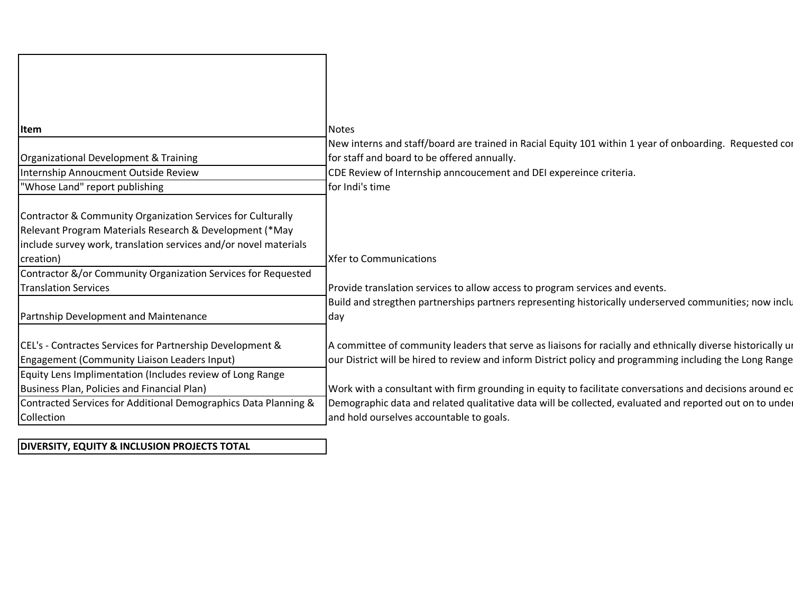| <b>Item</b>                                                      | <b>Notes</b>                                                                                                |
|------------------------------------------------------------------|-------------------------------------------------------------------------------------------------------------|
|                                                                  | New interns and staff/board are trained in Racial Equity 101 within 1 year of onboarding. Requested cor     |
| Organizational Development & Training                            | for staff and board to be offered annually.                                                                 |
| Internship Annoucment Outside Review                             | CDE Review of Internship anncoucement and DEI expereince criteria.                                          |
| "Whose Land" report publishing                                   | for Indi's time                                                                                             |
|                                                                  |                                                                                                             |
| Contractor & Community Organization Services for Culturally      |                                                                                                             |
| Relevant Program Materials Research & Development (*May          |                                                                                                             |
| include survey work, translation services and/or novel materials |                                                                                                             |
| creation)                                                        | <b>Xfer to Communications</b>                                                                               |
| Contractor &/or Community Organization Services for Requested    |                                                                                                             |
| <b>Translation Services</b>                                      | Provide translation services to allow access to program services and events.                                |
|                                                                  | Build and stregthen partnerships partners representing historically underserved communities; now inclu      |
| Partnship Development and Maintenance                            | day                                                                                                         |
|                                                                  |                                                                                                             |
| CEL's - Contractes Services for Partnership Development &        | A committee of community leaders that serve as liaisons for racially and ethnically diverse historically un |
| Engagement (Community Liaison Leaders Input)                     | our District will be hired to review and inform District policy and programming including the Long Range    |
| Equity Lens Implimentation (Includes review of Long Range        |                                                                                                             |
| Business Plan, Policies and Financial Plan)                      | Work with a consultant with firm grounding in equity to facilitate conversations and decisions around ed    |
| Contracted Services for Additional Demographics Data Planning &  | Demographic data and related qualitative data will be collected, evaluated and reported out on to under     |
| Collection                                                       | and hold ourselves accountable to goals.                                                                    |

### **DIVERSITY, EQUITY & INCLUSION PROJECTS TOTAL**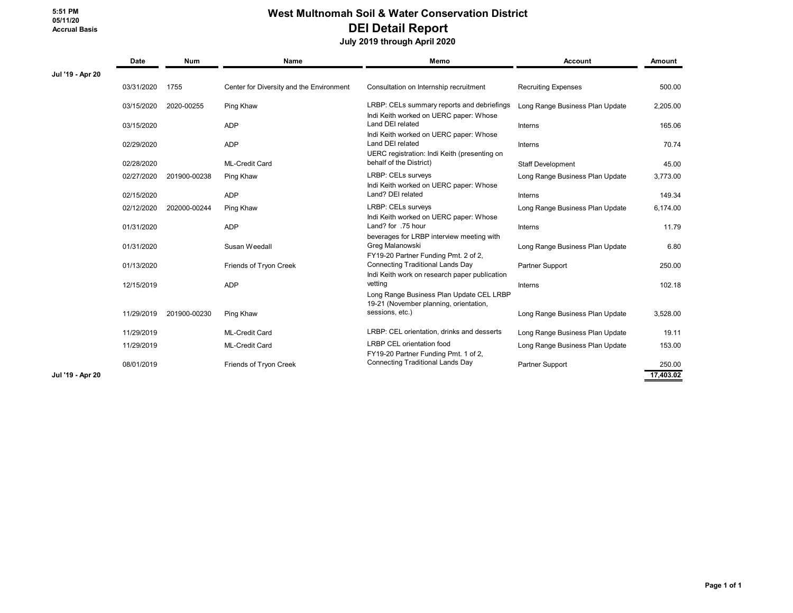#### **West Multnomah Soil & Water Conservation District DEI Detail Report**

 **July 2019 through April 2020**

|                  | Date       | <b>Num</b>   | Name                                     | Memo                                                                                     | <b>Account</b>                  | Amount    |  |
|------------------|------------|--------------|------------------------------------------|------------------------------------------------------------------------------------------|---------------------------------|-----------|--|
| Jul '19 - Apr 20 |            |              |                                          |                                                                                          |                                 |           |  |
|                  | 03/31/2020 | 1755         | Center for Diversity and the Environment | Consultation on Internship recruitment                                                   | <b>Recruiting Expenses</b>      | 500.00    |  |
|                  | 03/15/2020 | 2020-00255   | Ping Khaw                                | LRBP: CELs summary reports and debriefings<br>Indi Keith worked on UERC paper: Whose     | Long Range Business Plan Update | 2,205.00  |  |
|                  | 03/15/2020 |              | <b>ADP</b>                               | Land DEI related<br>Indi Keith worked on UERC paper: Whose                               | Interns                         | 165.06    |  |
|                  | 02/29/2020 |              | <b>ADP</b>                               | Land DEI related<br>UERC registration: Indi Keith (presenting on                         | Interns                         | 70.74     |  |
|                  | 02/28/2020 |              | <b>ML-Credit Card</b>                    | behalf of the District)                                                                  | Staff Development               | 45.00     |  |
|                  | 02/27/2020 | 201900-00238 | Ping Khaw                                | LRBP: CELs surveys<br>Indi Keith worked on UERC paper: Whose                             | Long Range Business Plan Update | 3,773.00  |  |
|                  | 02/15/2020 |              | <b>ADP</b>                               | Land? DEI related                                                                        | Interns                         | 149.34    |  |
|                  | 02/12/2020 | 202000-00244 | Ping Khaw                                | LRBP: CELs surveys<br>Indi Keith worked on UERC paper: Whose                             | Long Range Business Plan Update | 6,174.00  |  |
|                  | 01/31/2020 |              | <b>ADP</b>                               | Land? for .75 hour<br>beverages for LRBP interview meeting with                          | Interns                         | 11.79     |  |
|                  | 01/31/2020 |              | Susan Weedall                            | Greg Malanowski<br>FY19-20 Partner Funding Pmt. 2 of 2,                                  | Long Range Business Plan Update | 6.80      |  |
|                  | 01/13/2020 |              | Friends of Tryon Creek                   | <b>Connecting Traditional Lands Day</b><br>Indi Keith work on research paper publication | Partner Support                 | 250.00    |  |
|                  | 12/15/2019 |              | <b>ADP</b>                               | vetting<br>Long Range Business Plan Update CEL LRBP                                      | Interns                         | 102.18    |  |
|                  | 11/29/2019 | 201900-00230 | Ping Khaw                                | 19-21 (November planning, orientation,<br>sessions, etc.)                                | Long Range Business Plan Update | 3,528.00  |  |
|                  | 11/29/2019 |              | <b>ML-Credit Card</b>                    | LRBP: CEL orientation, drinks and desserts                                               | Long Range Business Plan Update | 19.11     |  |
|                  | 11/29/2019 |              | <b>ML-Credit Card</b>                    | <b>LRBP CEL orientation food</b><br>FY19-20 Partner Funding Pmt. 1 of 2,                 | Long Range Business Plan Update | 153.00    |  |
|                  | 08/01/2019 |              | Friends of Tryon Creek                   | <b>Connecting Traditional Lands Day</b>                                                  | Partner Support                 | 250.00    |  |
| Jul '19 - Apr 20 |            |              |                                          |                                                                                          |                                 | 17.403.02 |  |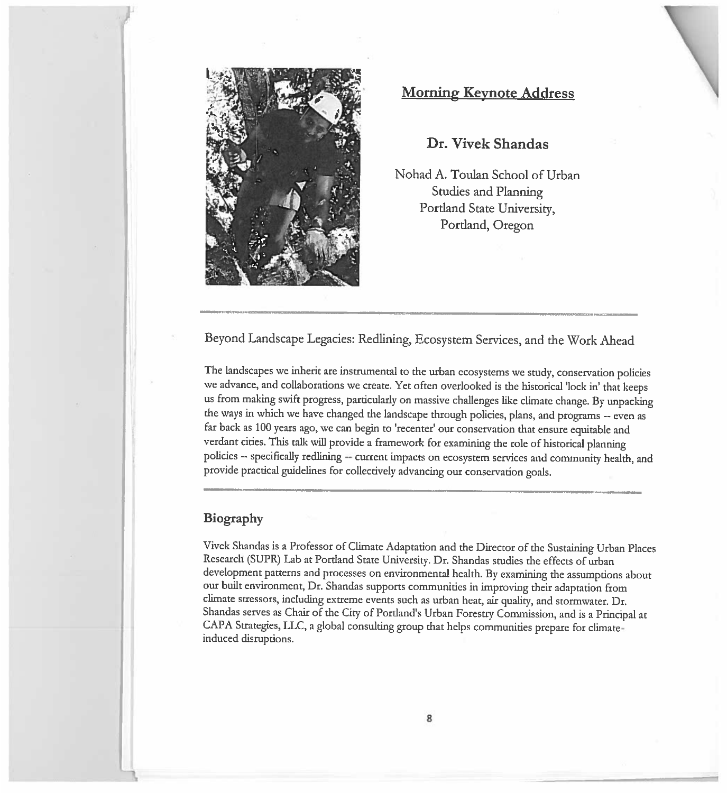

# Morning Keynote Address

### Dr. Vivek Shandas

Nohad A. Toulan School of Urban Studies and Planning Portland State University, Portland, Oregon

Beyond Landscape Legacies: Redlining, Ecosystem Services, and the Work Ahead

The landscapes we inherit are instrumental to the urban ecosystems we study, conservation policies we advance, and collaborations we create. Yet often overlooked is the historical 'lock in' that keeps us from making swift progress, particularly on massive challenges like climate change. By unpacking the ways in which we have changed the landscape through policies, <sup>p</sup>lans, and programs -- even as far back as <sup>100</sup> years ago, we can begin to 'recenter' our conservation that ensure equitable and verdant cities. This talk will provide <sup>a</sup> framework for examining the role of historical <sup>p</sup>lanning policies -- specifically redlining -- current impacts on ecosystem services and community health, and provide practical guidelines for collectively advancing our conservation goals.

#### Biography

Vivek Shandas is a Professor of Climate Adaptation and the Director of the Sustaining Urban Places Research (SUPR) Lab at Portland State University. Dr. Shandas studies the effects of urban development patterns and processes on environmental health. By examining the assumptions about our built environment, Dr. Shandas supports communities in improving their adaptation from climate stressors, including extreme events such as urban heat, air quality, and stormwater. Dr. Shandas serves as Chair of the City of Portland's Urban Forestry Commission, and is <sup>a</sup> Principal at CAPA Strategies, TIC, <sup>a</sup> <sup>g</sup>lobal consulting group that helps communities prepare for climateinduced disruptions.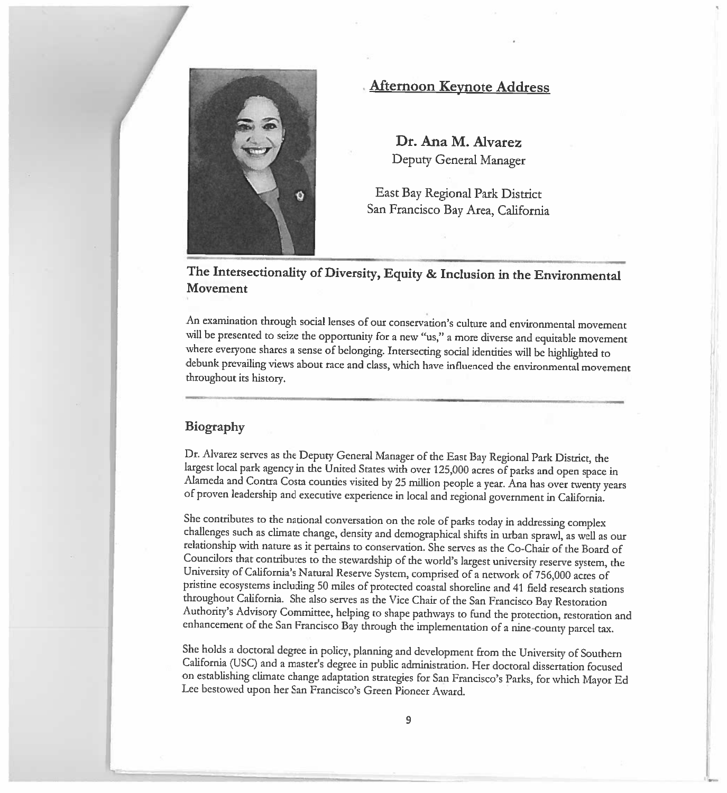

### • Afternoon Keynote Address

Dr. Ana M. AlvarezDeputy General Manager

East Bay Regional Park District San Francisco Bay Area, California

# The Intersectionality of Diversity, Equity & Inclusion in the Environmental Movement

An examination through social lenses of our conservation's culture and environmental movement will be presented to seize the opportunity for <sup>a</sup> new "us," <sup>a</sup> more diverse and equitable movement where everyone shares a sense of belonging. Intersecting social identities will be highlighted to<br>debunk prevailing views about race and class, which have influenced the environmental masses prevailing views about race and class, which have influenced the environmental movement throughout its history.

#### Biography

Dr. Alvarez serves as thelargest local park agency in the United States with over 125,000 acres of parks and open space in Alameda and Contra Costa counties visited by 25 million people a year. Ana has over twenty years<br>of proven leadership and executive experience in local and regional optomment in Colifornia proven leadership and executive experience in local and regional government in California.

She contributes to the national conversation on the role ofchallenges such as climate change, density and demographical shifts in urban sprawl, as well as our Co-Chair of the Board of Councilors that contributes to University of California's Natural Reserve System, comprised of a network of 756,000 acres of pristine ecosystems including <sup>50</sup> miles of protected coastal shoreline and <sup>41</sup> field research stations throughout California. She also serves as the Vice Chair of the San FranciscoAuthority's Advisory Committee, helping to shape pathways to fund the protection, restoration and of the San Francisco Bay through the implementation of <sup>a</sup> nine-county parcel tax.

She holds a doctoral degree in policy, planning and development from the University of Southern<br>California (USC) and a master's degree in public administration. Her doctoral disconstigue factoral (USC) and <sup>a</sup> master's degree in public administration. Her doctoral dissertation focused on establishing climate change adaptation strategies for San Francisco's Parks, for which Mayor Ed<br>Lee bestowed upon her San Francisco's Green Pioneer Award bestowed upon her San Francisco's Green Pioneer Award.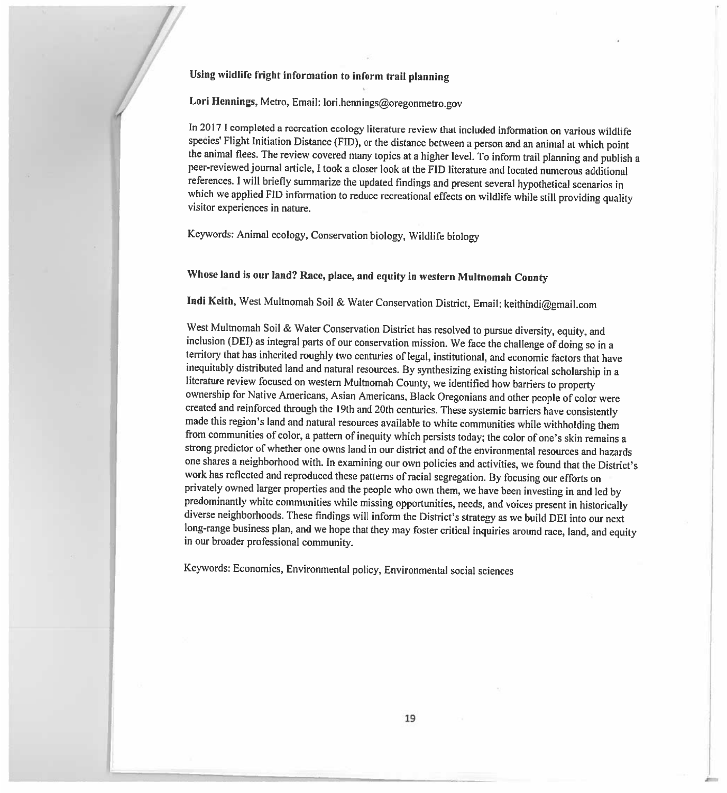#### Using wildlife fright information to inform trail <sup>p</sup>lanning

Lori Hennings, Metro, Email: lori.hennings@oregonmetro.gov

In 2017 <sup>I</sup> completed <sup>a</sup> recreation ecology literature review that included information on various wildlife species' Flight Initiation Distance (FID), or the distance between a person and an animal at which point the animal flees. The review covered many topics at a higher level. To inform trail planning and publish a<br>peer-reviewed journal article, I took a closer look at the FID literature and located numerous additional D literature and located numerous additional references. I will briefly summarize the updated findings and present several hypothetical scenarios in which we applied FID information to reduce recreational effects on wildlife while atill numbered in a cust which we applied FID information to reduce recreational effects on wildlife while still providing quality<br>visitor experiences in nature visitor experiences in nature.

Keywords: Animal ecology, Conservation biology, Wildlife biology

#### Whose land is our land? Race, place, and equity in western Multnomah County

Indi Keith, West Multnomah Soil & Water Conservation District, Email: keithindi@gmail.com

West Multnomah Soil & Water Conservation District has resolved to west Multhoman Soll & Water Conservation District has resolved to pursue diversity, equity, and inclusion (DEI) as integral parts of our conservation mission. We face the challenge of doing so in territory that has inherited roughly two centuries of legal, institutional, and economic factors that have inequitably distributed land and natural resources. By synthesizing existing historical scholarship in a e review focused on western Multnomah ownership for Native Americans, Asian Americans, Black Oregonians and other people of color were created and reinforced through the 19th and 20th centuries. These systemic barriers have consistently<br>made this region's land and natural resources available to white communities while withholding than made this region's land and natural resources available to white communities while withholding them<br>from communities of color a pattern of inequity which persists today; the solar of anale clin semains m communities of color, a pattern of inequity which persists today; the color of one's skin remains a strong predictor of whether one owns land in our district and of the environmental resources and hazards one shares a neighborhood with. In examining our own policies and activities, we found that the District's work has reflected and reproduced these patterns of racial segregation. By focusing our efforts on privately owned larger properties and the people who own them, we have been investing in and led by predominantly white communities while missing opportunities, needs, and voices present in historically diverse neighborhoods. These findings will inform the District's strategy as we build DEI into our next long-range business plan, and we hope that they may foster critical inquiries around race, land, and equity n our broader professional community

Keywords: Economics, Environmental policy, Environmental social sciences

r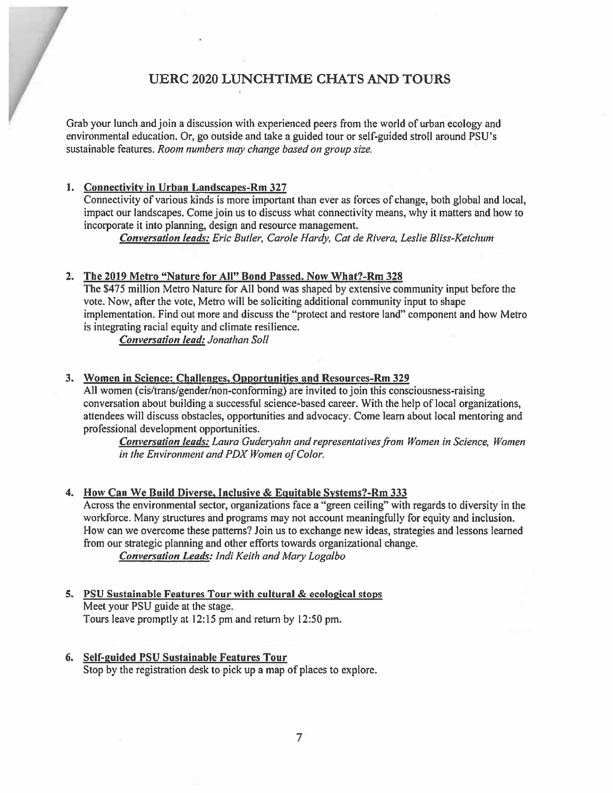### UERC 2020 LUNCHTIME CHATS AND TOURS

Grab your lunch and join <sup>a</sup> discussion with experienced peers from the world of urban ecology and environmental education. Or, go outside and take <sup>a</sup> guided tour or self-guided stroll around PSU's sustainable features. *Room numbers may change based on group size* 

#### 1. Connectivity in Urban Landscapes-Rm 327

Connectivity of various kinds is more important than ever as forces of change, both global and local, impact our landscapes. Come join us to discuss what connectivity means, why it matters and how to incorporate it into planning, design and resource management.

<u>Conversation leads:</u> Eric Butler, Carole Hardy, Cat de Rivera, Leslie Bliss-Ketchum

#### 2. The 2019 Metro "Nature for All" Bond Passed. Now What?-Rm 328

The \$475 million Metro Nature for All bond was shaped by extensive community input before the vote. Now, after the vote, Metro will be soliciting additional community input to shape implementation. Find out more and discuss the "protect and restore land" componen<sup>t</sup> and how Metro is integrating racial equity and climate resilience.

Conversation lead: Jonathan Soll

#### 3. Women in Science: Challenges, Opportunities and Resources-km 329

All women (cis/trans/gender/non-conforming) are invited to join this consciousness-raising conversation about building <sup>a</sup> successftil science-based career. With the help of local organizations, attendees will discuss obstacles, opportunities and advocacy. Come learn about local mentoring and professional development opportunities.

Conversation leads: Laura Guderyahn and representatives from Women in Science, Women in the Environment and PDX Women of Color

# 4. How Can We Build Diverse, Inclusive & Equitable Systems?-Rm 333

Across the environmental sector, organizations face <sup>a</sup> "green ceiling" with regards to diversity in the workforce. Many structures and programs may not account meaningfully for equity and inclusion. Now can we overcome these patterns? Join us to exchange new ideas, strategies and lessons learned from our strategic planning and other efforts towards organizational change.

Conversation Leads: Indi Keith and Mary Logalbo

- 5. PSU Sustainable Features Tour with cultural & ecological stops Meet your PSU guide at the stage. Tours leave promptly at 12:15 pm and return by 12:50 pm.
- 6. Self-guided PSU Sustainable Features Tour Stop by the registration desk to pick up a map of places to explore.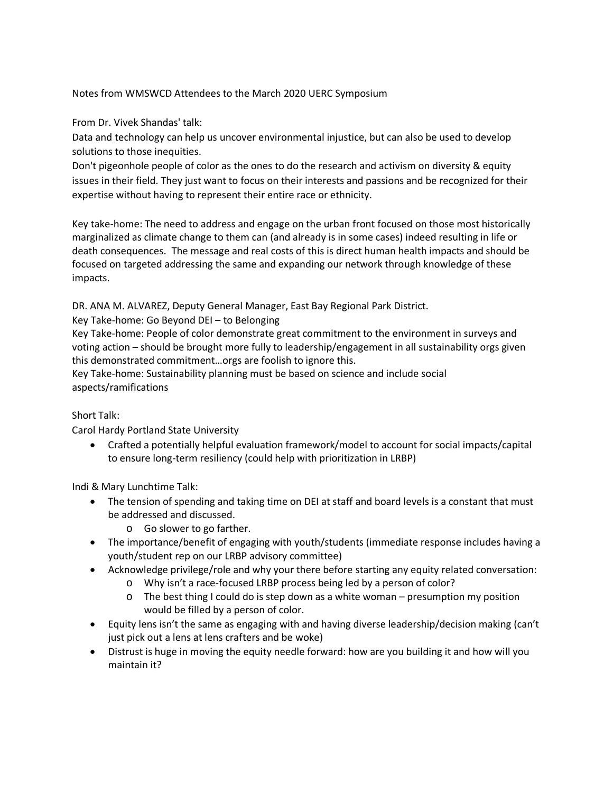#### Notes from WMSWCD Attendees to the March 2020 UERC Symposium

From Dr. Vivek Shandas' talk:

Data and technology can help us uncover environmental injustice, but can also be used to develop solutions to those inequities.

Don't pigeonhole people of color as the ones to do the research and activism on diversity & equity issues in their field. They just want to focus on their interests and passions and be recognized for their expertise without having to represent their entire race or ethnicity.

Key take-home: The need to address and engage on the urban front focused on those most historically marginalized as climate change to them can (and already is in some cases) indeed resulting in life or death consequences. The message and real costs of this is direct human health impacts and should be focused on targeted addressing the same and expanding our network through knowledge of these impacts.

DR. ANA M. ALVAREZ, Deputy General Manager, East Bay Regional Park District.

Key Take-home: Go Beyond DEI – to Belonging

Key Take-home: People of color demonstrate great commitment to the environment in surveys and voting action – should be brought more fully to leadership/engagement in all sustainability orgs given this demonstrated commitment…orgs are foolish to ignore this.

Key Take-home: Sustainability planning must be based on science and include social aspects/ramifications

#### Short Talk:

Carol Hardy Portland State University

• Crafted a potentially helpful evaluation framework/model to account for social impacts/capital to ensure long-term resiliency (could help with prioritization in LRBP)

Indi & Mary Lunchtime Talk:

- The tension of spending and taking time on DEI at staff and board levels is a constant that must be addressed and discussed.
	- o Go slower to go farther.
- The importance/benefit of engaging with youth/students (immediate response includes having a youth/student rep on our LRBP advisory committee)
- Acknowledge privilege/role and why your there before starting any equity related conversation:
	- o Why isn't a race-focused LRBP process being led by a person of color?
	- $\circ$  The best thing I could do is step down as a white woman presumption my position would be filled by a person of color.
- Equity lens isn't the same as engaging with and having diverse leadership/decision making (can't just pick out a lens at lens crafters and be woke)
- Distrust is huge in moving the equity needle forward: how are you building it and how will you maintain it?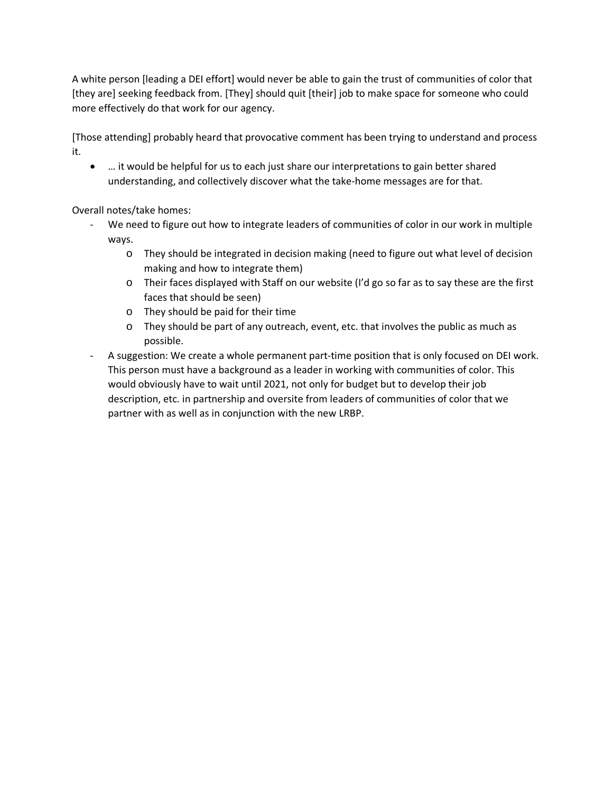A white person [leading a DEI effort] would never be able to gain the trust of communities of color that [they are] seeking feedback from. [They] should quit [their] job to make space for someone who could more effectively do that work for our agency.

[Those attending] probably heard that provocative comment has been trying to understand and process it.

• … it would be helpful for us to each just share our interpretations to gain better shared understanding, and collectively discover what the take-home messages are for that.

Overall notes/take homes:

- We need to figure out how to integrate leaders of communities of color in our work in multiple ways.
	- o They should be integrated in decision making (need to figure out what level of decision making and how to integrate them)
	- o Their faces displayed with Staff on our website (I'd go so far as to say these are the first faces that should be seen)
	- o They should be paid for their time
	- o They should be part of any outreach, event, etc. that involves the public as much as possible.
- A suggestion: We create a whole permanent part-time position that is only focused on DEI work. This person must have a background as a leader in working with communities of color. This would obviously have to wait until 2021, not only for budget but to develop their job description, etc. in partnership and oversite from leaders of communities of color that we partner with as well as in conjunction with the new LRBP.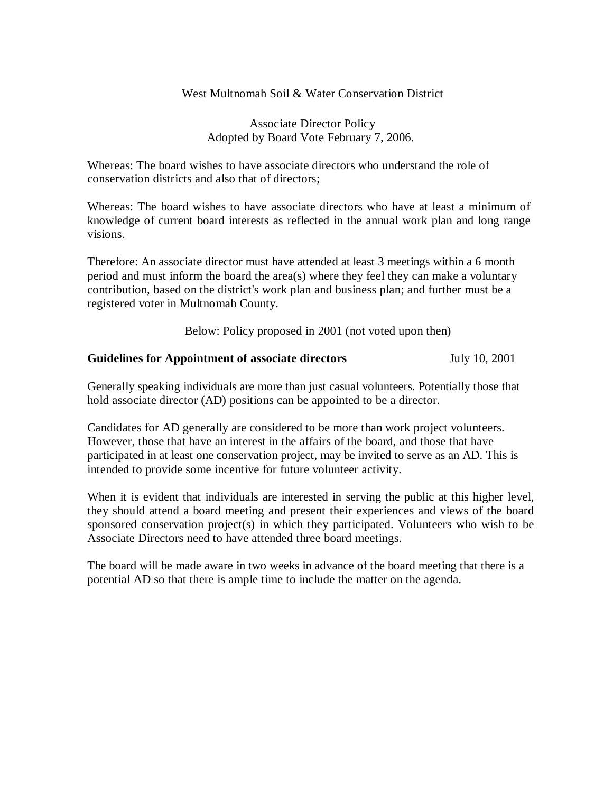West Multnomah Soil & Water Conservation District

Associate Director Policy Adopted by Board Vote February 7, 2006.

Whereas: The board wishes to have associate directors who understand the role of conservation districts and also that of directors;

Whereas: The board wishes to have associate directors who have at least a minimum of knowledge of current board interests as reflected in the annual work plan and long range visions.

Therefore: An associate director must have attended at least 3 meetings within a 6 month period and must inform the board the area(s) where they feel they can make a voluntary contribution, based on the district's work plan and business plan; and further must be a registered voter in Multnomah County.

Below: Policy proposed in 2001 (not voted upon then)

#### **Guidelines for Appointment of associate directors** July 10, 2001

Generally speaking individuals are more than just casual volunteers. Potentially those that hold associate director (AD) positions can be appointed to be a director.

Candidates for AD generally are considered to be more than work project volunteers. However, those that have an interest in the affairs of the board, and those that have participated in at least one conservation project, may be invited to serve as an AD. This is intended to provide some incentive for future volunteer activity.

When it is evident that individuals are interested in serving the public at this higher level, they should attend a board meeting and present their experiences and views of the board sponsored conservation project(s) in which they participated. Volunteers who wish to be Associate Directors need to have attended three board meetings.

The board will be made aware in two weeks in advance of the board meeting that there is a potential AD so that there is ample time to include the matter on the agenda.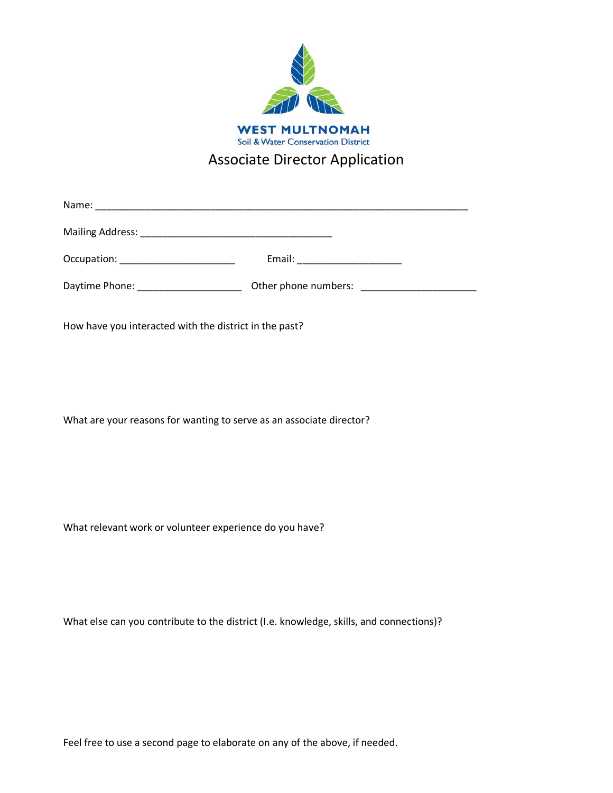

# Associate Director Application

Name: \_\_\_\_\_\_\_\_\_\_\_\_\_\_\_\_\_\_\_\_\_\_\_\_\_\_\_\_\_\_\_\_\_\_\_\_\_\_\_\_\_\_\_\_\_\_\_\_\_\_\_\_\_\_\_\_\_\_\_\_\_\_\_\_\_\_\_\_

Mailing Address: \_\_\_\_\_\_\_\_\_\_\_\_\_\_\_\_\_\_\_\_\_\_\_\_\_\_\_\_\_\_\_\_\_\_\_

Occupation: \_\_\_\_\_\_\_\_\_\_\_\_\_\_\_\_\_\_\_\_\_ Email: \_\_\_\_\_\_\_\_\_\_\_\_\_\_\_\_\_\_\_

Daytime Phone: \_\_\_\_\_\_\_\_\_\_\_\_\_\_\_\_\_\_\_\_\_\_\_\_\_\_ Other phone numbers: \_\_\_\_\_\_\_\_\_\_\_\_\_\_\_\_\_

How have you interacted with the district in the past?

What are your reasons for wanting to serve as an associate director?

What relevant work or volunteer experience do you have?

What else can you contribute to the district (I.e. knowledge, skills, and connections)?

Feel free to use a second page to elaborate on any of the above, if needed.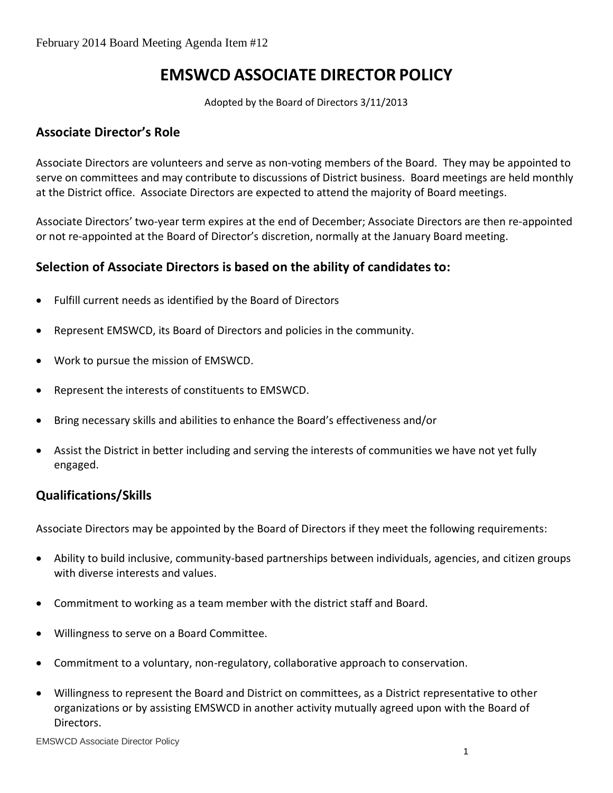# **EMSWCD ASSOCIATE DIRECTOR POLICY**

Adopted by the Board of Directors 3/11/2013

### **Associate Director's Role**

Associate Directors are volunteers and serve as non-voting members of the Board. They may be appointed to serve on committees and may contribute to discussions of District business. Board meetings are held monthly at the District office. Associate Directors are expected to attend the majority of Board meetings.

Associate Directors' two-year term expires at the end of December; Associate Directors are then re-appointed or not re-appointed at the Board of Director's discretion, normally at the January Board meeting.

### **Selection of Associate Directors is based on the ability of candidates to:**

- Fulfill current needs as identified by the Board of Directors
- Represent EMSWCD, its Board of Directors and policies in the community.
- Work to pursue the mission of EMSWCD.
- Represent the interests of constituents to EMSWCD.
- Bring necessary skills and abilities to enhance the Board's effectiveness and/or
- Assist the District in better including and serving the interests of communities we have not yet fully engaged.

### **Qualifications/Skills**

Associate Directors may be appointed by the Board of Directors if they meet the following requirements:

- Ability to build inclusive, community-based partnerships between individuals, agencies, and citizen groups with diverse interests and values.
- Commitment to working as a team member with the district staff and Board.
- Willingness to serve on a Board Committee.
- Commitment to a voluntary, non-regulatory, collaborative approach to conservation.
- Willingness to represent the Board and District on committees, as a District representative to other organizations or by assisting EMSWCD in another activity mutually agreed upon with the Board of Directors.